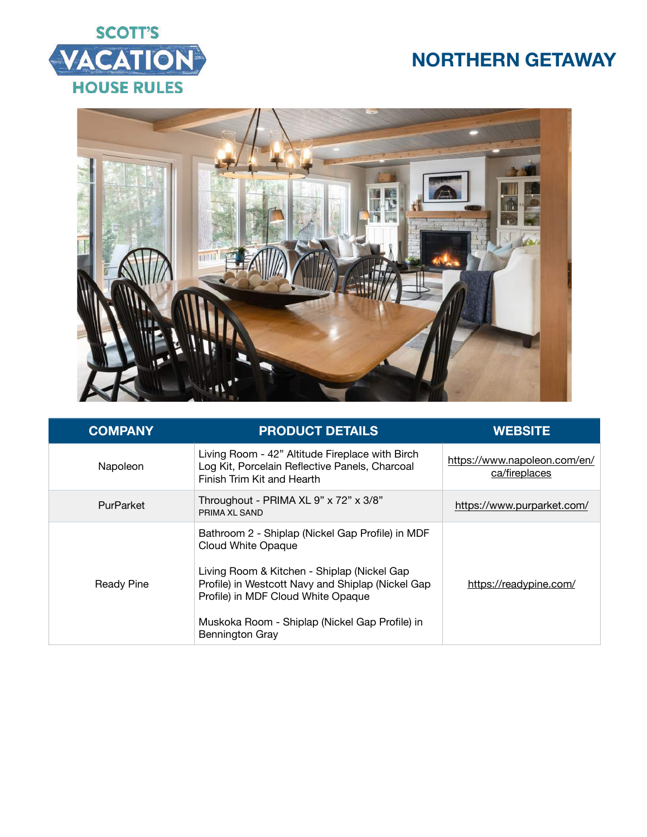





| <b>COMPANY</b>    | <b>PRODUCT DETAILS</b>                                                                                                                                                                                                                                                                              | <b>WEBSITE</b>                                |
|-------------------|-----------------------------------------------------------------------------------------------------------------------------------------------------------------------------------------------------------------------------------------------------------------------------------------------------|-----------------------------------------------|
| Napoleon          | Living Room - 42" Altitude Fireplace with Birch<br>Log Kit, Porcelain Reflective Panels, Charcoal<br>Finish Trim Kit and Hearth                                                                                                                                                                     | https://www.napoleon.com/en/<br>ca/fireplaces |
| PurParket         | Throughout - PRIMA XL 9" x 72" x 3/8"<br>PRIMA XL SAND                                                                                                                                                                                                                                              | https://www.purparket.com/                    |
| <b>Ready Pine</b> | Bathroom 2 - Shiplap (Nickel Gap Profile) in MDF<br><b>Cloud White Opaque</b><br>Living Room & Kitchen - Shiplap (Nickel Gap<br>Profile) in Westcott Navy and Shiplap (Nickel Gap<br>Profile) in MDF Cloud White Opaque<br>Muskoka Room - Shiplap (Nickel Gap Profile) in<br><b>Bennington Gray</b> | https://readypine.com/                        |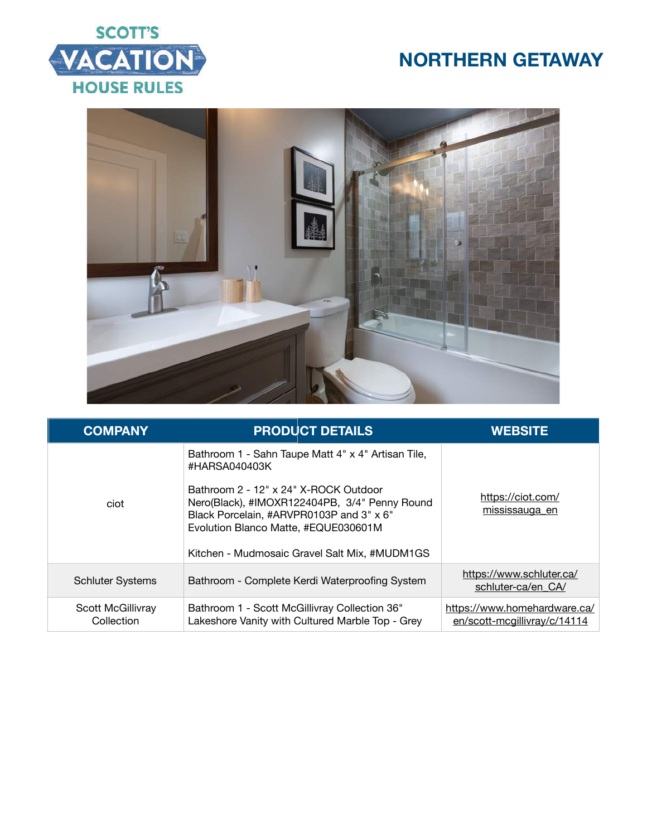



| <b>COMPANY</b>                  |                                                                                                                                            | <b>PRODUCT DETAILS</b>                                                                                                                               | <b>WEBSITE</b>                                               |
|---------------------------------|--------------------------------------------------------------------------------------------------------------------------------------------|------------------------------------------------------------------------------------------------------------------------------------------------------|--------------------------------------------------------------|
| ciot                            | #HARSA040403K<br>Bathroom 2 - 12" x 24" X-ROCK Outdoor<br>Black Porcelain, #ARVPR0103P and 3" x 6"<br>Evolution Blanco Matte, #EQUE030601M | Bathroom 1 - Sahn Taupe Matt 4" x 4" Artisan Tile,<br>Nero(Black), #IMOXR122404PB, 3/4" Penny Round<br>Kitchen - Mudmosaic Gravel Salt Mix, #MUDM1GS | https://ciot.com/<br>mississauga en                          |
| <b>Schluter Systems</b>         |                                                                                                                                            | Bathroom - Complete Kerdi Waterproofing System                                                                                                       | https://www.schluter.ca/<br>schluter-ca/en CA/               |
| Scott McGillivray<br>Collection | Bathroom 1 - Scott McGillivray Collection 36"                                                                                              | Lakeshore Vanity with Cultured Marble Top - Grey                                                                                                     | https://www.homehardware.ca/<br>en/scott-mcgillivray/c/14114 |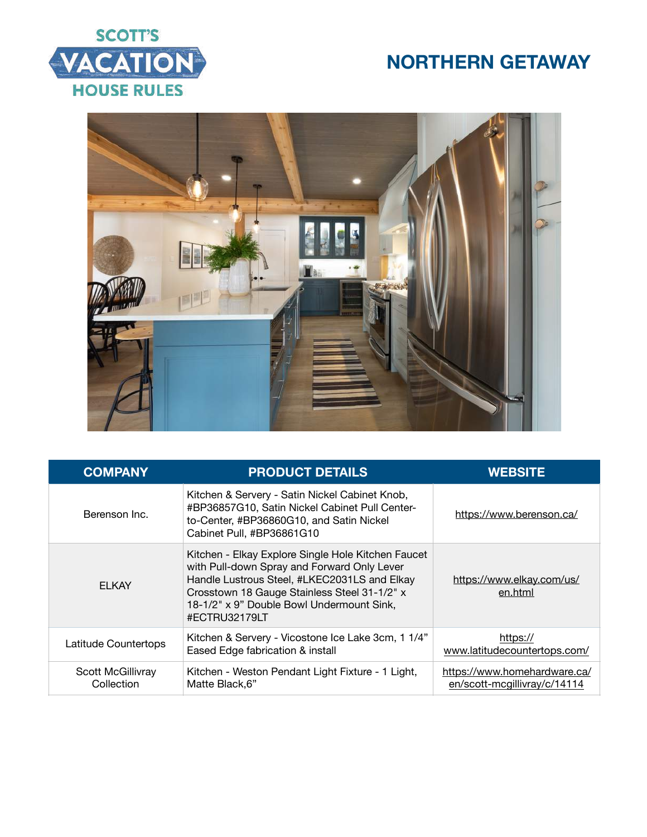



| <b>COMPANY</b>                  | <b>PRODUCT DETAILS</b>                                                                                                                                                                                                                                          | <b>WEBSITE</b>                                               |
|---------------------------------|-----------------------------------------------------------------------------------------------------------------------------------------------------------------------------------------------------------------------------------------------------------------|--------------------------------------------------------------|
| Berenson Inc.                   | Kitchen & Servery - Satin Nickel Cabinet Knob,<br>#BP36857G10, Satin Nickel Cabinet Pull Center-<br>to-Center, #BP36860G10, and Satin Nickel<br>Cabinet Pull, #BP36861G10                                                                                       | https://www.berenson.ca/                                     |
| <b>FI KAY</b>                   | Kitchen - Elkay Explore Single Hole Kitchen Faucet<br>with Pull-down Spray and Forward Only Lever<br>Handle Lustrous Steel, #LKEC2031LS and Elkay<br>Crosstown 18 Gauge Stainless Steel 31-1/2" x<br>18-1/2" x 9" Double Bowl Undermount Sink,<br>#ECTRU32179LT | https://www.elkay.com/us/<br>en.html                         |
| Latitude Countertops            | Kitchen & Servery - Vicostone Ice Lake 3cm, 1 1/4"<br>Eased Edge fabrication & install                                                                                                                                                                          | https://<br>www.latitudecountertops.com/                     |
| Scott McGillivray<br>Collection | Kitchen - Weston Pendant Light Fixture - 1 Light,<br>Matte Black, 6"                                                                                                                                                                                            | https://www.homehardware.ca/<br>en/scott-mcgillivray/c/14114 |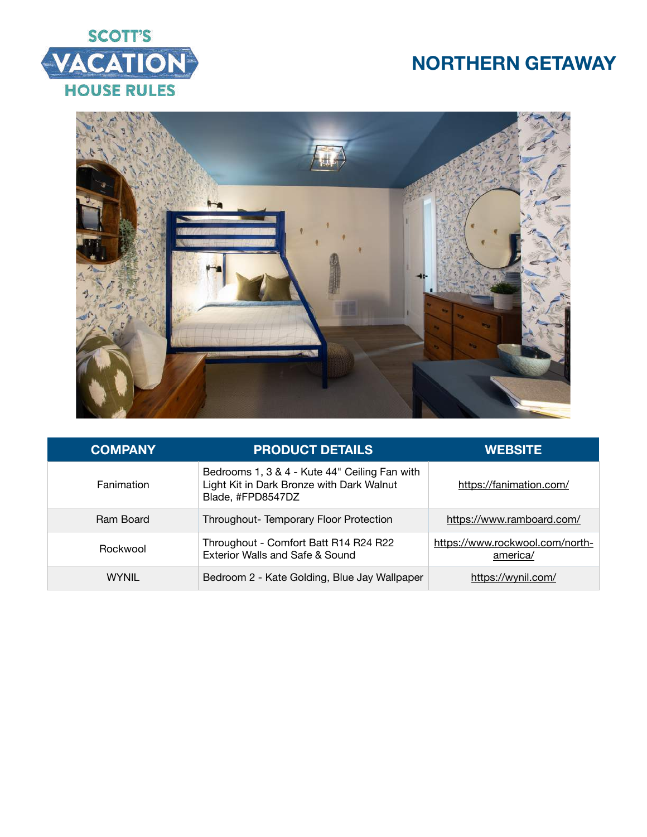



| <b>COMPANY</b>    | <b>PRODUCT DETAILS</b>                                                                                          | <b>WEBSITE</b>                              |
|-------------------|-----------------------------------------------------------------------------------------------------------------|---------------------------------------------|
| <b>Fanimation</b> | Bedrooms 1, 3 & 4 - Kute 44" Ceiling Fan with<br>Light Kit in Dark Bronze with Dark Walnut<br>Blade, #FPD8547DZ | https://fanimation.com/                     |
| Ram Board         | Throughout-Temporary Floor Protection                                                                           | https://www.ramboard.com/                   |
| Rockwool          | Throughout - Comfort Batt R14 R24 R22<br>Exterior Walls and Safe & Sound                                        | https://www.rockwool.com/north-<br>america/ |
| <b>WYNIL</b>      | Bedroom 2 - Kate Golding, Blue Jay Wallpaper                                                                    | https://wynil.com/                          |